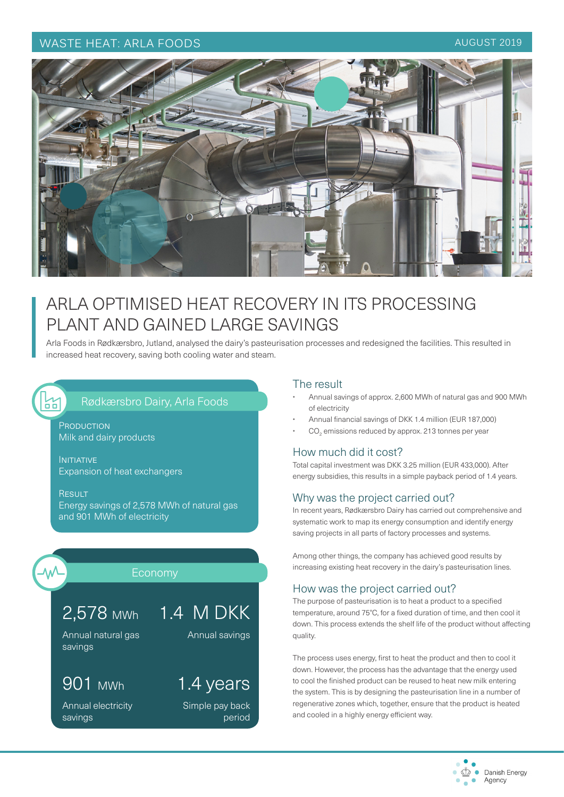## WASTE HEAT: ARLA FOODS AUGUST 2019



# ARLA OPTIMISED HEAT RECOVERY IN ITS PROCESSING PLANT AND GAINED LARGE SAVINGS

Arla Foods in Rødkærsbro, Jutland, analysed the dairy's pasteurisation processes and redesigned the facilities. This resulted in increased heat recovery, saving both cooling water and steam.

# Rødkærsbro Dairy, Arla Foods

**PRODUCTION** Milk and dairy products

**INITIATIVE** Expansion of heat exchangers

**RESULT** Energy savings of 2,578 MWh of natural gas and 901 MWh of electricity

얾

# Economy

Annual savings

1.4 years

Simple pay back

period

# 2,578 MWh 1.4 M DKK

Annual natural gas savings

# 901 MWh

Annual electricity savings

#### The result

- Annual savings of approx. 2,600 MWh of natural gas and 900 MWh of electricity
- Annual financial savings of DKK 1.4 million (EUR 187,000)
- $\cdot$   $CO<sub>2</sub>$  emissions reduced by approx. 213 tonnes per year

### How much did it cost?

Total capital investment was DKK 3.25 million (EUR 433,000). After energy subsidies, this results in a simple payback period of 1.4 years.

### Why was the project carried out?

In recent years, Rødkærsbro Dairy has carried out comprehensive and systematic work to map its energy consumption and identify energy saving projects in all parts of factory processes and systems.

Among other things, the company has achieved good results by increasing existing heat recovery in the dairy's pasteurisation lines.

### How was the project carried out?

The purpose of pasteurisation is to heat a product to a specified temperature, around 75°C, for a fixed duration of time, and then cool it down. This process extends the shelf life of the product without affecting quality.

The process uses energy, first to heat the product and then to cool it down. However, the process has the advantage that the energy used to cool the finished product can be reused to heat new milk entering the system. This is by designing the pasteurisation line in a number of regenerative zones which, together, ensure that the product is heated and cooled in a highly energy efficient way.